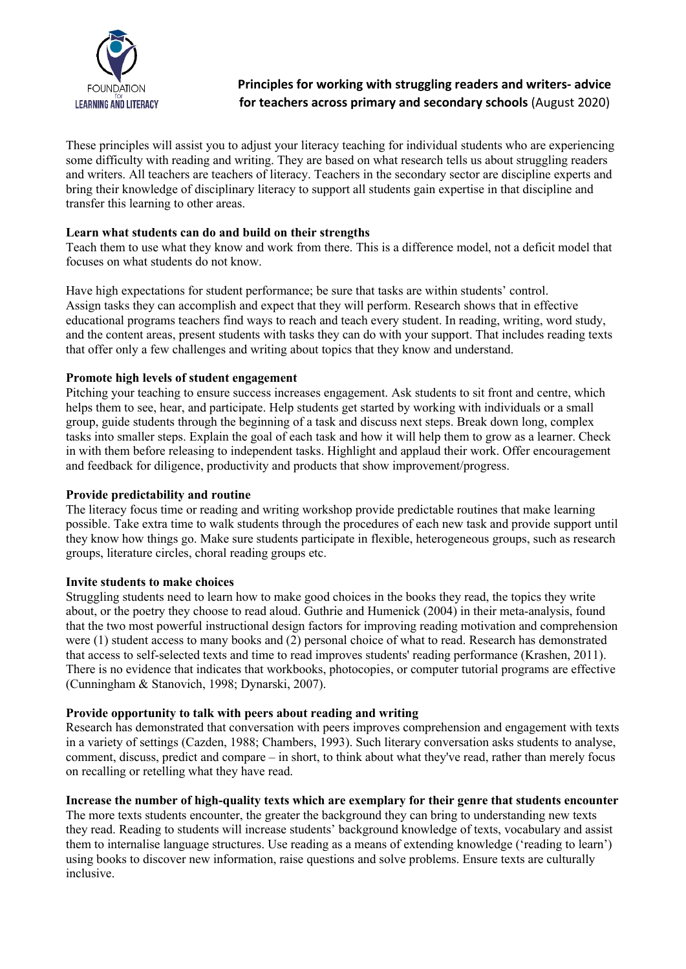

# **Principles for working with struggling readers and writers- advice for teachers across primary and secondary schools** (August 2020)

These principles will assist you to adjust your literacy teaching for individual students who are experiencing some difficulty with reading and writing. They are based on what research tells us about struggling readers and writers. All teachers are teachers of literacy. Teachers in the secondary sector are discipline experts and bring their knowledge of disciplinary literacy to support all students gain expertise in that discipline and transfer this learning to other areas.

# **Learn what students can do and build on their strengths**

Teach them to use what they know and work from there. This is a difference model, not a deficit model that focuses on what students do not know.

Have high expectations for student performance; be sure that tasks are within students' control. Assign tasks they can accomplish and expect that they will perform. Research shows that in effective educational programs teachers find ways to reach and teach every student. In reading, writing, word study, and the content areas, present students with tasks they can do with your support. That includes reading texts that offer only a few challenges and writing about topics that they know and understand.

## **Promote high levels of student engagement**

Pitching your teaching to ensure success increases engagement. Ask students to sit front and centre, which helps them to see, hear, and participate. Help students get started by working with individuals or a small group, guide students through the beginning of a task and discuss next steps. Break down long, complex tasks into smaller steps. Explain the goal of each task and how it will help them to grow as a learner. Check in with them before releasing to independent tasks. Highlight and applaud their work. Offer encouragement and feedback for diligence, productivity and products that show improvement/progress.

### **Provide predictability and routine**

The literacy focus time or reading and writing workshop provide predictable routines that make learning possible. Take extra time to walk students through the procedures of each new task and provide support until they know how things go. Make sure students participate in flexible, heterogeneous groups, such as research groups, literature circles, choral reading groups etc.

### **Invite students to make choices**

Struggling students need to learn how to make good choices in the books they read, the topics they write about, or the poetry they choose to read aloud. Guthrie and Humenick (2004) in their meta-analysis, found that the two most powerful instructional design factors for improving reading motivation and comprehension were (1) student access to many books and (2) personal choice of what to read. Research has demonstrated that access to self-selected texts and time to read improves students' reading performance (Krashen, 2011). There is no evidence that indicates that workbooks, photocopies, or computer tutorial programs are effective (Cunningham & Stanovich, 1998; Dynarski, 2007).

# **Provide opportunity to talk with peers about reading and writing**

Research has demonstrated that conversation with peers improves comprehension and engagement with texts in a variety of settings (Cazden, 1988; Chambers, 1993). Such literary conversation asks students to analyse, comment, discuss, predict and compare – in short, to think about what they've read, rather than merely focus on recalling or retelling what they have read.

# **Increase the number of high-quality texts which are exemplary for their genre that students encounter**

The more texts students encounter, the greater the background they can bring to understanding new texts they read. Reading to students will increase students' background knowledge of texts, vocabulary and assist them to internalise language structures. Use reading as a means of extending knowledge ('reading to learn') using books to discover new information, raise questions and solve problems. Ensure texts are culturally inclusive.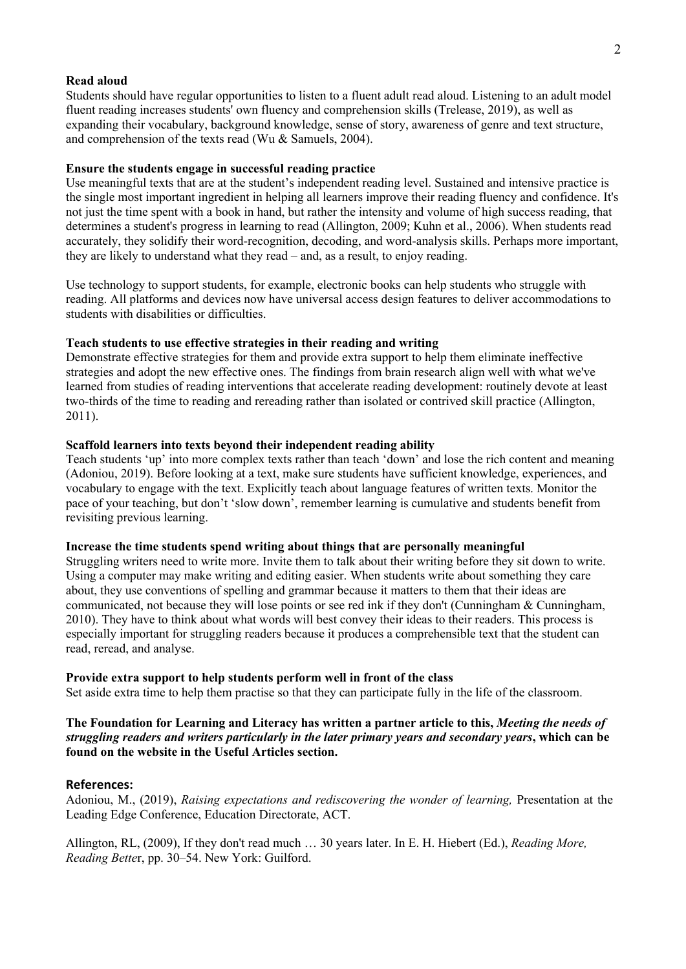#### **Read aloud**

Students should have regular opportunities to listen to a fluent adult read aloud. Listening to an adult model fluent reading increases students' own fluency and comprehension skills (Trelease, 2019), as well as expanding their vocabulary, background knowledge, sense of story, awareness of genre and text structure, and comprehension of the texts read (Wu & Samuels, 2004).

#### **Ensure the students engage in successful reading practice**

Use meaningful texts that are at the student's independent reading level. Sustained and intensive practice is the single most important ingredient in helping all learners improve their reading fluency and confidence. It's not just the time spent with a book in hand, but rather the intensity and volume of high success reading, that determines a student's progress in learning to read (Allington, 2009; Kuhn et al., 2006). When students read accurately, they solidify their word-recognition, decoding, and word-analysis skills. Perhaps more important, they are likely to understand what they read – and, as a result, to enjoy reading.

Use technology to support students, for example, electronic books can help students who struggle with reading. All platforms and devices now have universal access design features to deliver accommodations to students with disabilities or difficulties.

#### **Teach students to use effective strategies in their reading and writing**

Demonstrate effective strategies for them and provide extra support to help them eliminate ineffective strategies and adopt the new effective ones. The findings from brain research align well with what we've learned from studies of reading interventions that accelerate reading development: routinely devote at least two-thirds of the time to reading and rereading rather than isolated or contrived skill practice (Allington, 2011).

#### **Scaffold learners into texts beyond their independent reading ability**

Teach students 'up' into more complex texts rather than teach 'down' and lose the rich content and meaning (Adoniou, 2019). Before looking at a text, make sure students have sufficient knowledge, experiences, and vocabulary to engage with the text. Explicitly teach about language features of written texts. Monitor the pace of your teaching, but don't 'slow down', remember learning is cumulative and students benefit from revisiting previous learning.

#### **Increase the time students spend writing about things that are personally meaningful**

Struggling writers need to write more. Invite them to talk about their writing before they sit down to write. Using a computer may make writing and editing easier. When students write about something they care about, they use conventions of spelling and grammar because it matters to them that their ideas are communicated, not because they will lose points or see red ink if they don't (Cunningham & Cunningham, 2010). They have to think about what words will best convey their ideas to their readers. This process is especially important for struggling readers because it produces a comprehensible text that the student can read, reread, and analyse.

#### **Provide extra support to help students perform well in front of the class**

Set aside extra time to help them practise so that they can participate fully in the life of the classroom.

**The Foundation for Learning and Literacy has written a partner article to this,** *Meeting the needs of struggling readers and writers particularly in the later primary years and secondary years***, which can be found on the website in the Useful Articles section.**

### **References:**

Adoniou, M., (2019), *Raising expectations and rediscovering the wonder of learning,* Presentation at the Leading Edge Conference, Education Directorate, ACT.

Allington, RL, (2009), If they don't read much … 30 years later. In E. H. Hiebert (Ed.), *Reading More, Reading Bette*r, pp. 30–54. New York: Guilford.